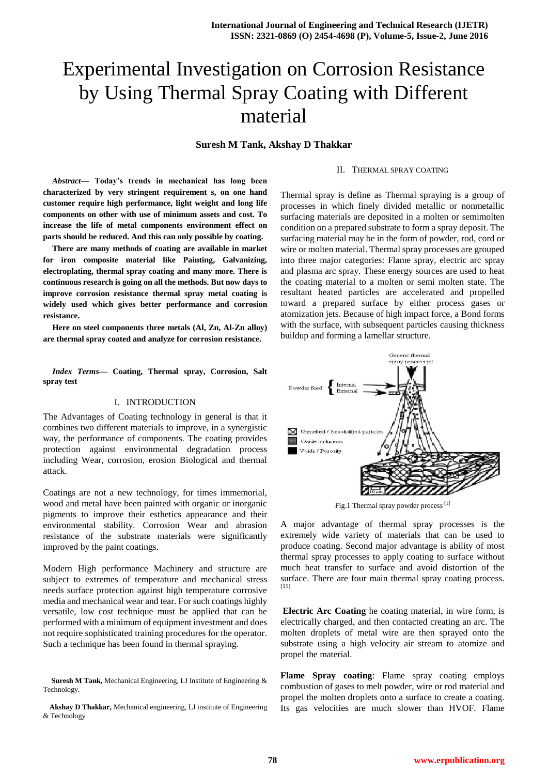# Experimental Investigation on Corrosion Resistance by Using Thermal Spray Coating with Different material

**Suresh M Tank, Akshay D Thakkar**

### II. THERMAL SPRAY COATING

*Abstract***— Today's trends in mechanical has long been characterized by very stringent requirement s, on one hand customer require high performance, light weight and long life components on other with use of minimum assets and cost. To increase the life of metal components environment effect on parts should be reduced. And this can only possible by coating.** 

**There are many methods of coating are available in market for iron composite material like Painting, Galvanizing, electroplating, thermal spray coating and many more. There is continuous research is going on all the methods. But now days to improve corrosion resistance thermal spray metal coating is widely used which gives better performance and corrosion resistance.**

**Here on steel components three metals (Al, Zn, Al-Zn alloy) are thermal spray coated and analyze for corrosion resistance.**

*Index Terms***— Coating, Thermal spray, Corrosion, Salt spray test**

## I. INTRODUCTION

The Advantages of Coating technology in general is that it combines two different materials to improve, in a synergistic way, the performance of components. The coating provides protection against environmental degradation process including Wear, corrosion, erosion Biological and thermal attack.

Coatings are not a new technology, for times immemorial, wood and metal have been painted with organic or inorganic pigments to improve their esthetics appearance and their environmental stability. Corrosion Wear and abrasion resistance of the substrate materials were significantly improved by the paint coatings.

Modern High performance Machinery and structure are subject to extremes of temperature and mechanical stress needs surface protection against high temperature corrosive media and mechanical wear and tear. For such coatings highly versatile, low cost technique must be applied that can be performed with a minimum of equipment investment and does not require sophisticated training procedures for the operator. Such a technique has been found in thermal spraying.

**Suresh M Tank,** Mechanical Engineering, LJ Institute of Engineering & Technology.

**Akshay D Thakkar,** Mechanical engineering, LJ institute of Engineering & Technology

Thermal spray is define as Thermal spraying is a group of processes in which finely divided metallic or nonmetallic surfacing materials are deposited in a molten or semimolten condition on a prepared substrate to form a spray deposit. The surfacing material may be in the form of powder, rod, cord or wire or molten material. Thermal spray processes are grouped into three major categories: Flame spray, electric arc spray and plasma arc spray. These energy sources are used to heat the coating material to a molten or semi molten state. The resultant heated particles are accelerated and propelled toward a prepared surface by either process gases or atomization jets. Because of high impact force, a Bond forms with the surface, with subsequent particles causing thickness buildup and forming a lamellar structure.



Fig.1 Thermal spray powder process<sup>[1]</sup>

A major advantage of thermal spray processes is the extremely wide variety of materials that can be used to produce coating. Second major advantage is ability of most thermal spray processes to apply coating to surface without much heat transfer to surface and avoid distortion of the surface. There are four main thermal spray coating process.  $[15]$ 

**Electric Arc Coating** he coating material, in wire form, is electrically charged, and then contacted creating an arc. The molten droplets of metal wire are then sprayed onto the substrate using a high velocity air stream to atomize and propel the material.

**Flame Spray coating**: Flame spray coating employs combustion of gases to melt powder, wire or rod material and propel the molten droplets onto a surface to create a coating. Its gas velocities are much slower than HVOF. Flame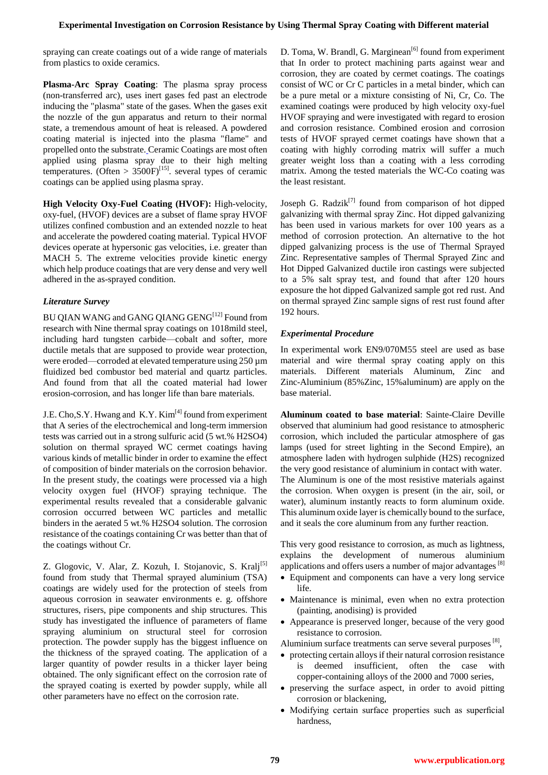spraying can create coatings out of a wide range of materials from plastics to oxide ceramics.

**Plasma-Arc Spray Coating**: The plasma spray process (non-transferred arc), uses inert gases fed past an electrode inducing the "plasma" state of the gases. When the gases exit the nozzle of the gun apparatus and return to their normal state, a tremendous amount of heat is released. A powdered coating material is injected into the plasma "flame" and propelled onto the substrate. Ceramic Coatings are most often applied using plasma spray due to their high melting temperatures. (Often >  $3500F$ <sup>[15]</sup>. several types of ceramic coatings can be applied using plasma spray.

**High Velocity Oxy-Fuel Coating (HVOF):** High-velocity, oxy-fuel, (HVOF) devices are a subset of flame spray HVOF utilizes confined combustion and an extended nozzle to heat and accelerate the powdered coating material. Typical HVOF devices operate at hypersonic gas velocities, i.e. greater than MACH 5. The extreme velocities provide kinetic energy which help produce coatings that are very dense and very well adhered in the as-sprayed condition.

# *Literature Survey*

BU QIAN WANG and GANG QIANG GENG<sup>[12]</sup> Found from research with Nine thermal spray coatings on 1018mild steel, including hard tungsten carbide—cobalt and softer, more ductile metals that are supposed to provide wear protection, were eroded—corroded at elevated temperature using 250 µm fluidized bed combustor bed material and quartz particles. And found from that all the coated material had lower erosion-corrosion, and has longer life than bare materials.

J.E. Cho, S.Y. Hwang and K.Y. Kim<sup>[4]</sup> found from experiment that A series of the electrochemical and long-term immersion tests was carried out in a strong sulfuric acid (5 wt.% H2SO4) solution on thermal sprayed WC cermet coatings having various kinds of metallic binder in order to examine the effect of composition of binder materials on the corrosion behavior. In the present study, the coatings were processed via a high velocity oxygen fuel (HVOF) spraying technique. The experimental results revealed that a considerable galvanic corrosion occurred between WC particles and metallic binders in the aerated 5 wt.% H2SO4 solution. The corrosion resistance of the coatings containing Cr was better than that of the coatings without Cr.

Z. Glogovic, V. Alar, Z. Kozuh, I. Stojanovic, S. Kralj<sup>[5]</sup> found from study that Thermal sprayed aluminium (TSA) coatings are widely used for the protection of steels from aqueous corrosion in seawater environments e. g. offshore structures, risers, pipe components and ship structures. This study has investigated the influence of parameters of flame spraying aluminium on structural steel for corrosion protection. The powder supply has the biggest influence on the thickness of the sprayed coating. The application of a larger quantity of powder results in a thicker layer being obtained. The only significant effect on the corrosion rate of the sprayed coating is exerted by powder supply, while all other parameters have no effect on the corrosion rate.

D. Toma, W. Brandl, G. Marginean<sup>[6]</sup> found from experiment that In order to protect machining parts against wear and corrosion, they are coated by cermet coatings. The coatings consist of WC or Cr C particles in a metal binder, which can be a pure metal or a mixture consisting of Ni, Cr, Co. The examined coatings were produced by high velocity oxy-fuel HVOF spraying and were investigated with regard to erosion and corrosion resistance. Combined erosion and corrosion tests of HVOF sprayed cermet coatings have shown that a coating with highly corroding matrix will suffer a much greater weight loss than a coating with a less corroding matrix. Among the tested materials the WC-Co coating was the least resistant.

Joseph G. Radzi $k^{[7]}$  found from comparison of hot dipped galvanizing with thermal spray Zinc. Hot dipped galvanizing has been used in various markets for over 100 years as a method of corrosion protection. An alternative to the hot dipped galvanizing process is the use of Thermal Sprayed Zinc. Representative samples of Thermal Sprayed Zinc and Hot Dipped Galvanized ductile iron castings were subjected to a 5% salt spray test, and found that after 120 hours exposure the hot dipped Galvanized sample got red rust. And on thermal sprayed Zinc sample signs of rest rust found after 192 hours.

# *Experimental Procedure*

In experimental work EN9/070M55 steel are used as base material and wire thermal spray coating apply on this materials. Different materials Aluminum, Zinc and Zinc-Aluminium (85%Zinc, 15%aluminum) are apply on the base material.

**Aluminum coated to base material**: Sainte-Claire Deville observed that aluminium had good resistance to atmospheric corrosion, which included the particular atmosphere of gas lamps (used for street lighting in the Second Empire), an atmosphere laden with hydrogen sulphide (H2S) recognized the very good resistance of aluminium in contact with water. The Aluminum is one of the most resistive materials against the corrosion. When oxygen is present (in the air, soil, or water), aluminum instantly reacts to form aluminum oxide. This aluminum oxide layer is chemically bound to the surface, and it seals the core aluminum from any further reaction.

This very good resistance to corrosion, as much as lightness, explains the development of numerous aluminium applications and offers users a number of major advantages  $[8]$ 

- Equipment and components can have a very long service life.
- Maintenance is minimal, even when no extra protection (painting, anodising) is provided
- Appearance is preserved longer, because of the very good resistance to corrosion.

Aluminium surface treatments can serve several purposes [8],

- protecting certain alloys if their natural corrosion resistance is deemed insufficient, often the case with copper-containing alloys of the 2000 and 7000 series,
- preserving the surface aspect, in order to avoid pitting corrosion or blackening,
- Modifying certain surface properties such as superficial hardness,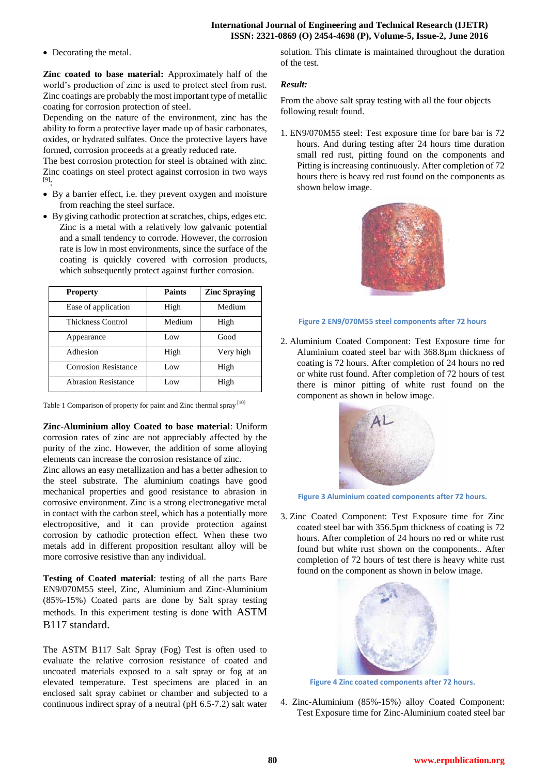## **International Journal of Engineering and Technical Research (IJETR) ISSN: 2321-0869 (O) 2454-4698 (P), Volume-5, Issue-2, June 2016**

• Decorating the metal.

**Zinc coated to base material:** Approximately half of the world's production of zinc is used to protect steel from rust. Zinc coatings are probably the most important type of metallic coating for corrosion protection of steel.

Depending on the nature of the environment, zinc has the ability to form a protective layer made up of basic carbonates, oxides, or hydrated sulfates. Once the protective layers have formed, corrosion proceeds at a greatly reduced rate.

The best corrosion protection for steel is obtained with zinc. Zinc coatings on steel protect against corrosion in two ways [9]:

- By a barrier effect, i.e. they prevent oxygen and moisture from reaching the steel surface.
- By giving cathodic protection at scratches, chips, edges etc. Zinc is a metal with a relatively low galvanic potential and a small tendency to corrode. However, the corrosion rate is low in most environments, since the surface of the coating is quickly covered with corrosion products, which subsequently protect against further corrosion.

| <b>Property</b>             | <b>Paints</b> | <b>Zinc Spraying</b> |
|-----------------------------|---------------|----------------------|
| Ease of application         | High          | Medium               |
| Thickness Control           | Medium        | High                 |
| Appearance                  | Low           | Good                 |
| Adhesion                    | High          | Very high            |
| <b>Corrosion Resistance</b> | Low           | High                 |
| <b>Abrasion Resistance</b>  | Low           | High                 |

Table 1 Comparison of property for paint and Zinc thermal spray [10]

**Zinc-Aluminium alloy Coated to base material**: Uniform corrosion rates of zinc are not appreciably affected by the purity of the zinc. However, the addition of some alloying elements can increase the corrosion resistance of zinc.

Zinc allows an easy metallization and has a better adhesion to the steel substrate. The aluminium coatings have good mechanical properties and good resistance to abrasion in corrosive environment. Zinc is a strong electronegative metal in contact with the carbon steel, which has a potentially more electropositive, and it can provide protection against corrosion by cathodic protection effect. When these two metals add in different proposition resultant alloy will be more corrosive resistive than any individual.

**Testing of Coated material**: testing of all the parts Bare EN9/070M55 steel, Zinc, Aluminium and Zinc-Aluminium (85%-15%) Coated parts are done by Salt spray testing methods. In this experiment testing is done with ASTM B117 standard.

The ASTM B117 Salt Spray (Fog) Test is often used to evaluate the relative corrosion resistance of coated and uncoated materials exposed to a salt spray or fog at an elevated temperature. Test specimens are placed in an enclosed salt spray cabinet or chamber and subjected to a continuous indirect spray of a neutral (pH 6.5-7.2) salt water solution. This climate is maintained throughout the duration of the test.

# *Result:*

From the above salt spray testing with all the four objects following result found.

1. EN9/070M55 steel: Test exposure time for bare bar is 72 hours. And during testing after 24 hours time duration small red rust, pitting found on the components and Pitting is increasing continuously. After completion of 72 hours there is heavy red rust found on the components as shown below image.



## **Figure 2 EN9/070M55 steel components after 72 hours**

2. Aluminium Coated Component: Test Exposure time for Aluminium coated steel bar with 368.8µm thickness of coating is 72 hours. After completion of 24 hours no red or white rust found. After completion of 72 hours of test there is minor pitting of white rust found on the component as shown in below image.



**Figure 3 Aluminium coated components after 72 hours.**

3. Zinc Coated Component: Test Exposure time for Zinc coated steel bar with 356.5µm thickness of coating is 72 hours. After completion of 24 hours no red or white rust found but white rust shown on the components.. After completion of 72 hours of test there is heavy white rust found on the component as shown in below image.



**Figure 4 Zinc coated components after 72 hours.**

4. Zinc-Aluminium (85%-15%) alloy Coated Component: Test Exposure time for Zinc-Aluminium coated steel bar